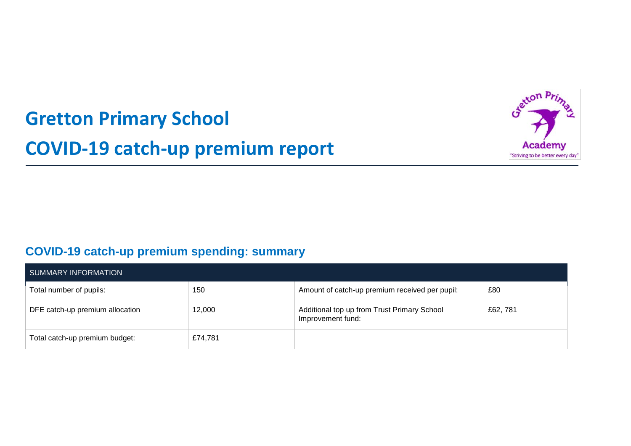# **Gretton Primary School COVID-19 catch-up premium report**



## **COVID-19 catch-up premium spending: summary**

| SUMMARY INFORMATION             |         |                                                                  |          |  |  |
|---------------------------------|---------|------------------------------------------------------------------|----------|--|--|
| Total number of pupils:         | 150     | Amount of catch-up premium received per pupil:                   | £80      |  |  |
| DFE catch-up premium allocation | 12,000  | Additional top up from Trust Primary School<br>Improvement fund: | £62, 781 |  |  |
| Total catch-up premium budget:  | £74,781 |                                                                  |          |  |  |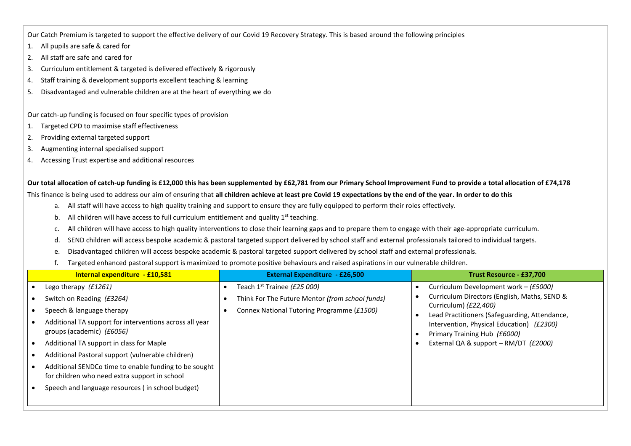Our Catch Premium is targeted to support the effective delivery of our Covid 19 Recovery Strategy. This is based around the following principles

- 1. All pupils are safe & cared for
- 2. All staff are safe and cared for
- 3. Curriculum entitlement & targeted is delivered effectively & rigorously
- 4. Staff training & development supports excellent teaching & learning
- 5. Disadvantaged and vulnerable children are at the heart of everything we do

Our catch-up funding is focused on four specific types of provision

- 1. Targeted CPD to maximise staff effectiveness
- 2. Providing external targeted support
- 3. Augmenting internal specialised support
- 4. Accessing Trust expertise and additional resources

**Our total allocation of catch-up funding is £12,000 this has been supplemented by £62,781 from our Primary School Improvement Fund to provide a total allocation of £74,178**

This finance is being used to address our aim of ensuring that **all children achieve at least pre Covid 19 expectations by the end of the year. In order to do this** 

- a. All staff will have access to high quality training and support to ensure they are fully equipped to perform their roles effectively.
- b. All children will have access to full curriculum entitlement and quality  $1<sup>st</sup>$  teaching.
- c. All children will have access to high quality interventions to close their learning gaps and to prepare them to engage with their age-appropriate curriculum.
- d. SEND children will access bespoke academic & pastoral targeted support delivered by school staff and external professionals tailored to individual targets.
- e. Disadvantaged children will access bespoke academic & pastoral targeted support delivered by school staff and external professionals.
- f. Targeted enhanced pastoral support is maximized to promote positive behaviours and raised aspirations in our vulnerable children.

| Internal expenditure - £10,581                                                                         | <b>External Expenditure - £26,500</b>           | Trust Resource - £37,700                                                  |
|--------------------------------------------------------------------------------------------------------|-------------------------------------------------|---------------------------------------------------------------------------|
| Lego therapy (£1261)                                                                                   | Teach 1 <sup>st</sup> Trainee (£25 000)         | Curriculum Development work – (£5000)                                     |
| Switch on Reading (£3264)                                                                              | Think For The Future Mentor (from school funds) | Curriculum Directors (English, Maths, SEND &                              |
| Speech & language therapy                                                                              | Connex National Tutoring Programme (£1500)      | Curriculum) (£22,400)<br>Lead Practitioners (Safeguarding, Attendance,    |
| Additional TA support for interventions across all year<br>groups (academic) (£6056)                   |                                                 | Intervention, Physical Education) (£2300)<br>Primary Training Hub (£6000) |
| Additional TA support in class for Maple                                                               |                                                 | External QA & support $-$ RM/DT (£2000)                                   |
| Additional Pastoral support (vulnerable children)                                                      |                                                 |                                                                           |
| Additional SENDCo time to enable funding to be sought<br>for children who need extra support in school |                                                 |                                                                           |
| Speech and language resources (in school budget)                                                       |                                                 |                                                                           |
|                                                                                                        |                                                 |                                                                           |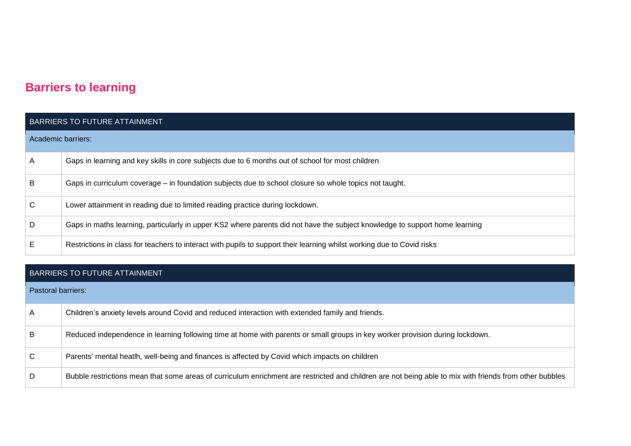## **Barriers to learning**

|                    | <b>BARRIERS TO FUTURE ATTAINMENT</b>                                                                                        |  |  |  |  |
|--------------------|-----------------------------------------------------------------------------------------------------------------------------|--|--|--|--|
| Academic barriers: |                                                                                                                             |  |  |  |  |
| A                  | Gaps in learning and key skills in core subjects due to 6 months out of school for most children                            |  |  |  |  |
| B                  | Gaps in curriculum coverage – in foundation subjects due to school closure so whole topics not taught.                      |  |  |  |  |
| С                  | Lower attainment in reading due to limited reading practice during lockdown.                                                |  |  |  |  |
| D                  | Gaps in maths learning, particularly in upper KS2 where parents did not have the subject knowledge to support home learning |  |  |  |  |
| Е                  | Restrictions in class for teachers to interact with pupils to support their learning whilst working due to Covid risks      |  |  |  |  |

#### BARRIERS TO FUTURE ATTAINMENT

| Pastoral barriers: |                                                                                                                                                         |
|--------------------|---------------------------------------------------------------------------------------------------------------------------------------------------------|
| $\mathsf{A}$       | Children's anxiety levels around Covid and reduced interaction with extended family and friends.                                                        |
| B                  | Reduced independence in learning following time at home with parents or small groups in key worker provision during lockdown.                           |
| $\mathsf{C}$       | Parents' mental heatlh, well-being and finances is affected by Covid which impacts on children                                                          |
| D                  | Bubble restrictions mean that some areas of curriculum enrichment are restricted and children are not being able to mix with friends from other bubbles |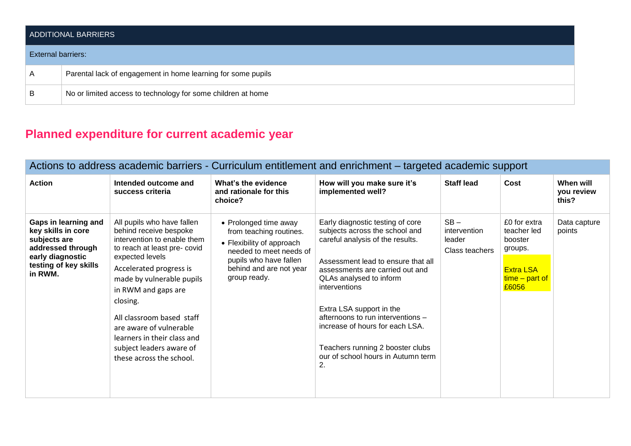|                    | <b>ADDITIONAL BARRIERS</b>                                   |  |  |  |  |
|--------------------|--------------------------------------------------------------|--|--|--|--|
| External barriers: |                                                              |  |  |  |  |
| $\overline{A}$     | Parental lack of engagement in home learning for some pupils |  |  |  |  |
| B                  | No or limited access to technology for some children at home |  |  |  |  |

# **Planned expenditure for current academic year**

| Actions to address academic barriers - Curriculum entitlement and enrichment - targeted academic support                                |                                                                                                                                                                                                                                                                                                                                                                                 |                                                                                                                                                                               |                                                                                                                                                                                                                                                                                                                                                                                                                 |                                                    |                                                                                                    |                                  |
|-----------------------------------------------------------------------------------------------------------------------------------------|---------------------------------------------------------------------------------------------------------------------------------------------------------------------------------------------------------------------------------------------------------------------------------------------------------------------------------------------------------------------------------|-------------------------------------------------------------------------------------------------------------------------------------------------------------------------------|-----------------------------------------------------------------------------------------------------------------------------------------------------------------------------------------------------------------------------------------------------------------------------------------------------------------------------------------------------------------------------------------------------------------|----------------------------------------------------|----------------------------------------------------------------------------------------------------|----------------------------------|
| <b>Action</b>                                                                                                                           | Intended outcome and<br>success criteria                                                                                                                                                                                                                                                                                                                                        | What's the evidence<br>and rationale for this<br>choice?                                                                                                                      | How will you make sure it's<br>implemented well?                                                                                                                                                                                                                                                                                                                                                                | <b>Staff lead</b>                                  | Cost                                                                                               | When will<br>you review<br>this? |
| Gaps in learning and<br>key skills in core<br>subjects are<br>addressed through<br>early diagnostic<br>testing of key skills<br>in RWM. | All pupils who have fallen<br>behind receive bespoke<br>intervention to enable them<br>to reach at least pre-covid<br>expected levels<br>Accelerated progress is<br>made by vulnerable pupils<br>in RWM and gaps are<br>closing.<br>All classroom based staff<br>are aware of vulnerable<br>learners in their class and<br>subject leaders aware of<br>these across the school. | • Prolonged time away<br>from teaching routines.<br>• Flexibility of approach<br>needed to meet needs of<br>pupils who have fallen<br>behind and are not year<br>group ready. | Early diagnostic testing of core<br>subjects across the school and<br>careful analysis of the results.<br>Assessment lead to ensure that all<br>assessments are carried out and<br>QLAs analysed to inform<br>interventions<br>Extra LSA support in the<br>afternoons to run interventions -<br>increase of hours for each LSA.<br>Teachers running 2 booster clubs<br>our of school hours in Autumn term<br>2. | $SB -$<br>intervention<br>leader<br>Class teachers | £0 for extra<br>teacher led<br>booster<br>groups.<br><b>Extra LSA</b><br>$time - part of$<br>£6056 | Data capture<br>points           |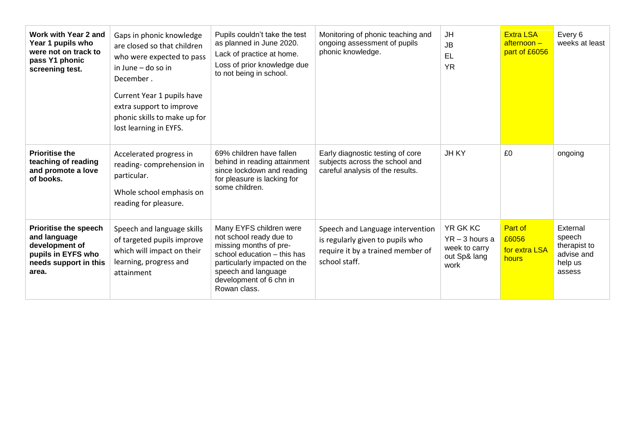| Work with Year 2 and<br>Year 1 pupils who<br>were not on track to<br>pass Y1 phonic<br>screening test.                 | Gaps in phonic knowledge<br>are closed so that children<br>who were expected to pass<br>in June – do so in<br>December.<br>Current Year 1 pupils have<br>extra support to improve<br>phonic skills to make up for<br>lost learning in EYFS. | Pupils couldn't take the test<br>as planned in June 2020.<br>Lack of practice at home.<br>Loss of prior knowledge due<br>to not being in school.                                                              | Monitoring of phonic teaching and<br>ongoing assessment of pupils<br>phonic knowledge.                                     | JH<br><b>JB</b><br>EL<br><b>YR</b>                                           | <b>Extra LSA</b><br>$after$ noon $-$<br>part of £6056 | Every 6<br>weeks at least                                             |
|------------------------------------------------------------------------------------------------------------------------|---------------------------------------------------------------------------------------------------------------------------------------------------------------------------------------------------------------------------------------------|---------------------------------------------------------------------------------------------------------------------------------------------------------------------------------------------------------------|----------------------------------------------------------------------------------------------------------------------------|------------------------------------------------------------------------------|-------------------------------------------------------|-----------------------------------------------------------------------|
| <b>Prioritise the</b><br>teaching of reading<br>and promote a love<br>of books.                                        | Accelerated progress in<br>reading-comprehension in<br>particular.<br>Whole school emphasis on<br>reading for pleasure.                                                                                                                     | 69% children have fallen<br>behind in reading attainment<br>since lockdown and reading<br>for pleasure is lacking for<br>some children.                                                                       | Early diagnostic testing of core<br>subjects across the school and<br>careful analysis of the results.                     | <b>JHKY</b>                                                                  | £0                                                    | ongoing                                                               |
| <b>Prioritise the speech</b><br>and language<br>development of<br>pupils in EYFS who<br>needs support in this<br>area. | Speech and language skills<br>of targeted pupils improve<br>which will impact on their<br>learning, progress and<br>attainment                                                                                                              | Many EYFS children were<br>not school ready due to<br>missing months of pre-<br>school education - this has<br>particularly impacted on the<br>speech and language<br>development of 6 chn in<br>Rowan class. | Speech and Language intervention<br>is regularly given to pupils who<br>require it by a trained member of<br>school staff. | <b>YR GK KC</b><br>$YR - 3$ hours a<br>week to carry<br>out Sp& lang<br>work | Part of<br>£6056<br>for extra LSA<br>hours            | External<br>speech<br>therapist to<br>advise and<br>help us<br>assess |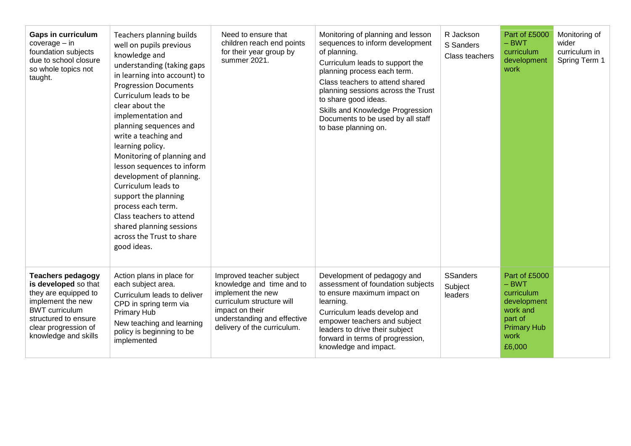| <b>Gaps in curriculum</b><br>$coverage - in$<br>foundation subjects<br>due to school closure<br>so whole topics not<br>taught.                                                                 | Teachers planning builds<br>well on pupils previous<br>knowledge and<br>understanding (taking gaps<br>in learning into account) to<br><b>Progression Documents</b><br>Curriculum leads to be<br>clear about the<br>implementation and<br>planning sequences and<br>write a teaching and<br>learning policy.<br>Monitoring of planning and<br>lesson sequences to inform<br>development of planning.<br>Curriculum leads to<br>support the planning<br>process each term.<br>Class teachers to attend<br>shared planning sessions<br>across the Trust to share<br>good ideas. | Need to ensure that<br>children reach end points<br>for their year group by<br>summer 2021.                                                                                              | Monitoring of planning and lesson<br>sequences to inform development<br>of planning.<br>Curriculum leads to support the<br>planning process each term.<br>Class teachers to attend shared<br>planning sessions across the Trust<br>to share good ideas.<br>Skills and Knowledge Progression<br>Documents to be used by all staff<br>to base planning on. | R Jackson<br>S Sanders<br>Class teachers | Part of £5000<br>$-$ BWT<br>curriculum<br>development<br>work                                                        | Monitoring of<br>wider<br>curriculum in<br>Spring Term 1 |
|------------------------------------------------------------------------------------------------------------------------------------------------------------------------------------------------|------------------------------------------------------------------------------------------------------------------------------------------------------------------------------------------------------------------------------------------------------------------------------------------------------------------------------------------------------------------------------------------------------------------------------------------------------------------------------------------------------------------------------------------------------------------------------|------------------------------------------------------------------------------------------------------------------------------------------------------------------------------------------|----------------------------------------------------------------------------------------------------------------------------------------------------------------------------------------------------------------------------------------------------------------------------------------------------------------------------------------------------------|------------------------------------------|----------------------------------------------------------------------------------------------------------------------|----------------------------------------------------------|
| <b>Teachers pedagogy</b><br>is developed so that<br>they are equipped to<br>implement the new<br><b>BWT</b> curriculum<br>structured to ensure<br>clear progression of<br>knowledge and skills | Action plans in place for<br>each subject area.<br>Curriculum leads to deliver<br>CPD in spring term via<br><b>Primary Hub</b><br>New teaching and learning<br>policy is beginning to be<br>implemented                                                                                                                                                                                                                                                                                                                                                                      | Improved teacher subject<br>knowledge and time and to<br>implement the new<br>curriculum structure will<br>impact on their<br>understanding and effective<br>delivery of the curriculum. | Development of pedagogy and<br>assessment of foundation subjects<br>to ensure maximum impact on<br>learning.<br>Curriculum leads develop and<br>empower teachers and subject<br>leaders to drive their subject<br>forward in terms of progression,<br>knowledge and impact.                                                                              | <b>SSanders</b><br>Subject<br>leaders    | Part of £5000<br>$-$ BWT<br>curriculum<br>development<br>work and<br>part of<br><b>Primary Hub</b><br>work<br>£6,000 |                                                          |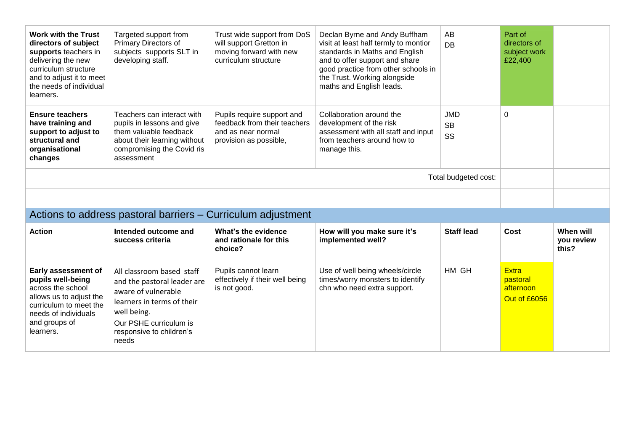| <b>Work with the Trust</b><br>directors of subject<br>supports teachers in<br>delivering the new<br>curriculum structure<br>and to adjust it to meet<br>the needs of individual<br>learners. | Targeted support from<br><b>Primary Directors of</b><br>subjects supports SLT in<br>developing staff.                                                          | Trust wide support from DoS<br>will support Gretton in<br>moving forward with new<br>curriculum structure  | Declan Byrne and Andy Buffham<br>visit at least half termly to montior<br>standards in Maths and English<br>and to offer support and share<br>good practice from other schools in<br>the Trust. Working alongside<br>maths and English leads. | AB<br><b>DB</b>                                              | Part of<br>directors of<br>subject work<br>£22,400 |                                  |  |  |  |  |
|----------------------------------------------------------------------------------------------------------------------------------------------------------------------------------------------|----------------------------------------------------------------------------------------------------------------------------------------------------------------|------------------------------------------------------------------------------------------------------------|-----------------------------------------------------------------------------------------------------------------------------------------------------------------------------------------------------------------------------------------------|--------------------------------------------------------------|----------------------------------------------------|----------------------------------|--|--|--|--|
| <b>Ensure teachers</b><br>have training and<br>support to adjust to<br>structural and<br>organisational<br>changes                                                                           | Teachers can interact with<br>pupils in lessons and give<br>them valuable feedback<br>about their learning without<br>compromising the Covid ris<br>assessment | Pupils require support and<br>feedback from their teachers<br>and as near normal<br>provision as possible, | Collaboration around the<br>development of the risk<br>assessment with all staff and input<br>from teachers around how to<br>manage this.                                                                                                     | <b>JMD</b><br><b>SB</b><br>SS                                | 0                                                  |                                  |  |  |  |  |
| Total budgeted cost:                                                                                                                                                                         |                                                                                                                                                                |                                                                                                            |                                                                                                                                                                                                                                               |                                                              |                                                    |                                  |  |  |  |  |
|                                                                                                                                                                                              |                                                                                                                                                                |                                                                                                            |                                                                                                                                                                                                                                               |                                                              |                                                    |                                  |  |  |  |  |
|                                                                                                                                                                                              |                                                                                                                                                                |                                                                                                            |                                                                                                                                                                                                                                               | Actions to address pastoral barriers – Curriculum adjustment |                                                    |                                  |  |  |  |  |
| <b>Action</b>                                                                                                                                                                                |                                                                                                                                                                |                                                                                                            |                                                                                                                                                                                                                                               |                                                              |                                                    |                                  |  |  |  |  |
|                                                                                                                                                                                              | Intended outcome and<br>success criteria                                                                                                                       | What's the evidence<br>and rationale for this<br>choice?                                                   | How will you make sure it's<br>implemented well?                                                                                                                                                                                              | <b>Staff lead</b>                                            | Cost                                               | When will<br>you review<br>this? |  |  |  |  |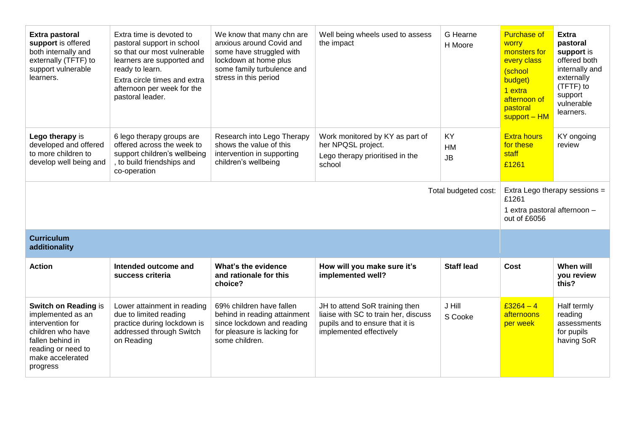| Extra pastoral<br>support is offered<br>both internally and<br>externally (TFTF) to<br>support vulnerable<br>learners.                                       | Extra time is devoted to<br>pastoral support in school<br>so that our most vulnerable<br>learners are supported and<br>ready to learn.<br>Extra circle times and extra<br>afternoon per week for the<br>pastoral leader. | We know that many chn are<br>anxious around Covid and<br>some have struggled with<br>lockdown at home plus<br>some family turbulence and<br>stress in this period | Well being wheels used to assess<br>the impact                                                                                       | G Hearne<br>H Moore          | <b>Purchase of</b><br><b>WOrry</b><br>monsters for<br>every class<br>(school<br>budget)<br>1 extra<br>afternoon of<br>pastoral<br>support - HM | <b>Extra</b><br>pastoral<br>support is<br>offered both<br>internally and<br>externally<br>(TFTF) to<br>support<br>vulnerable<br>learners. |  |
|--------------------------------------------------------------------------------------------------------------------------------------------------------------|--------------------------------------------------------------------------------------------------------------------------------------------------------------------------------------------------------------------------|-------------------------------------------------------------------------------------------------------------------------------------------------------------------|--------------------------------------------------------------------------------------------------------------------------------------|------------------------------|------------------------------------------------------------------------------------------------------------------------------------------------|-------------------------------------------------------------------------------------------------------------------------------------------|--|
| Lego therapy is<br>developed and offered<br>to more children to<br>develop well being and                                                                    | 6 lego therapy groups are<br>offered across the week to<br>support children's wellbeing<br>, to build friendships and<br>co-operation                                                                                    | Research into Lego Therapy<br>shows the value of this<br>intervention in supporting<br>children's wellbeing                                                       | Work monitored by KY as part of<br>her NPQSL project.<br>Lego therapy prioritised in the<br>school                                   | <b>KY</b><br>HM<br><b>JB</b> | <b>Extra hours</b><br>for these<br>staff<br>£1261                                                                                              | KY ongoing<br>review                                                                                                                      |  |
| Total budgeted cost:                                                                                                                                         |                                                                                                                                                                                                                          |                                                                                                                                                                   |                                                                                                                                      |                              |                                                                                                                                                | Extra Lego therapy sessions =<br>£1261<br>1 extra pastoral afternoon -<br>out of £6056                                                    |  |
| <b>Curriculum</b><br>additionality                                                                                                                           |                                                                                                                                                                                                                          |                                                                                                                                                                   |                                                                                                                                      |                              |                                                                                                                                                |                                                                                                                                           |  |
| <b>Action</b>                                                                                                                                                | Intended outcome and<br>success criteria                                                                                                                                                                                 | What's the evidence<br>and rationale for this<br>choice?                                                                                                          | How will you make sure it's<br>implemented well?                                                                                     | <b>Staff lead</b>            | Cost                                                                                                                                           | When will<br>you review<br>this?                                                                                                          |  |
| Switch on Reading is<br>implemented as an<br>intervention for<br>children who have<br>fallen behind in<br>reading or need to<br>make accelerated<br>progress | Lower attainment in reading<br>due to limited reading<br>practice during lockdown is<br>addressed through Switch<br>on Reading                                                                                           | 69% children have fallen<br>behind in reading attainment<br>since lockdown and reading<br>for pleasure is lacking for<br>some children.                           | JH to attend SoR training then<br>liaise with SC to train her, discuss<br>pupils and to ensure that it is<br>implemented effectively | J Hill<br>S Cooke            | £3264 - 4<br>afternoons<br>per week                                                                                                            | Half termly<br>reading<br>assessments<br>for pupils<br>having SoR                                                                         |  |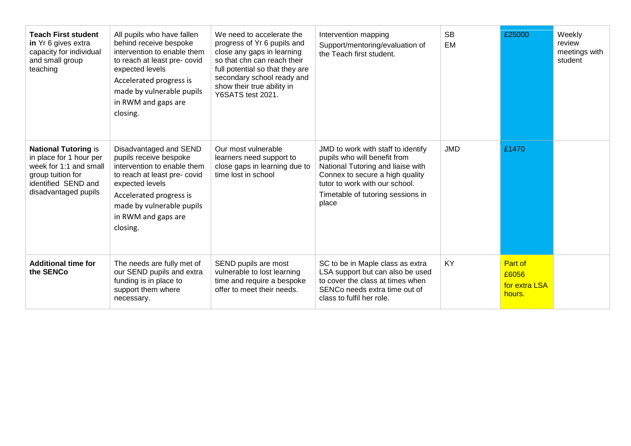| <b>Teach First student</b><br>in Yr 6 gives extra<br>capacity for individual<br>and small group<br>teaching                                          | All pupils who have fallen<br>behind receive bespoke<br>intervention to enable them<br>to reach at least pre-covid<br>expected levels<br>Accelerated progress is<br>made by vulnerable pupils<br>in RWM and gaps are<br>closing. | We need to accelerate the<br>progress of Yr 6 pupils and<br>close any gaps in learning<br>so that chn can reach their<br>full potential so that they are<br>secondary school ready and<br>show their true ability in<br>Y6SATS test 2021. | Intervention mapping<br>Support/mentoring/evaluation of<br>the Teach first student.                                                                                                                                        | <b>SB</b><br><b>EM</b> | £25000                                      | Weekly<br>review<br>meetings with<br>student |
|------------------------------------------------------------------------------------------------------------------------------------------------------|----------------------------------------------------------------------------------------------------------------------------------------------------------------------------------------------------------------------------------|-------------------------------------------------------------------------------------------------------------------------------------------------------------------------------------------------------------------------------------------|----------------------------------------------------------------------------------------------------------------------------------------------------------------------------------------------------------------------------|------------------------|---------------------------------------------|----------------------------------------------|
| <b>National Tutoring is</b><br>in place for 1 hour per<br>week for 1:1 and small<br>group tuition for<br>identified SEND and<br>disadvantaged pupils | Disadvantaged and SEND<br>pupils receive bespoke<br>intervention to enable them<br>to reach at least pre- covid<br>expected levels<br>Accelerated progress is<br>made by vulnerable pupils<br>in RWM and gaps are<br>closing.    | Our most vulnerable<br>learners need support to<br>close gaps in learning due to<br>time lost in school                                                                                                                                   | JMD to work with staff to identify<br>pupils who will benefit from<br>National Tutoring and liaise with<br>Connex to secure a high quality<br>tutor to work with our school.<br>Timetable of tutoring sessions in<br>place | <b>JMD</b>             | £1470                                       |                                              |
| <b>Additional time for</b><br>the SENCo                                                                                                              | The needs are fully met of<br>our SEND pupils and extra<br>funding is in place to<br>support them where<br>necessary.                                                                                                            | SEND pupils are most<br>vulnerable to lost learning<br>time and require a bespoke<br>offer to meet their needs.                                                                                                                           | SC to be in Maple class as extra<br>LSA support but can also be used<br>to cover the class at times when<br>SENCo needs extra time out of<br>class to fulfil her role.                                                     | <b>KY</b>              | Part of<br>£6056<br>for extra LSA<br>hours. |                                              |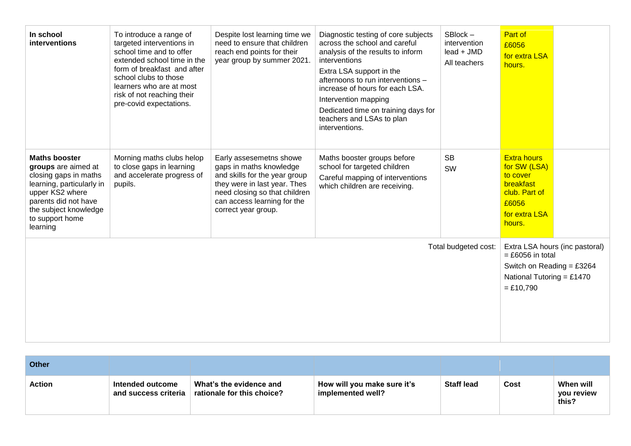| In school<br>interventions                                                                                                                                                                           | To introduce a range of<br>targeted interventions in<br>school time and to offer<br>extended school time in the<br>form of breakfast and after<br>school clubs to those<br>learners who are at most<br>risk of not reaching their<br>pre-covid expectations. | Despite lost learning time we<br>need to ensure that children<br>reach end points for their<br>year group by summer 2021.                                                                                  | Diagnostic testing of core subjects<br>across the school and careful<br>analysis of the results to inform<br>interventions<br>Extra LSA support in the<br>afternoons to run interventions -<br>increase of hours for each LSA.<br>Intervention mapping<br>Dedicated time on training days for<br>teachers and LSAs to plan<br>interventions. | $SBlock -$<br>intervention<br>lead + JMD<br>All teachers | Part of<br>£6056<br>for extra LSA<br>hours.                                                                      |                                |
|------------------------------------------------------------------------------------------------------------------------------------------------------------------------------------------------------|--------------------------------------------------------------------------------------------------------------------------------------------------------------------------------------------------------------------------------------------------------------|------------------------------------------------------------------------------------------------------------------------------------------------------------------------------------------------------------|----------------------------------------------------------------------------------------------------------------------------------------------------------------------------------------------------------------------------------------------------------------------------------------------------------------------------------------------|----------------------------------------------------------|------------------------------------------------------------------------------------------------------------------|--------------------------------|
| <b>Maths booster</b><br>groups are aimed at<br>closing gaps in maths<br>learning, particularly in<br>upper KS2 where<br>parents did not have<br>the subject knowledge<br>to support home<br>learning | Morning maths clubs helop<br>to close gaps in learning<br>and accelerate progress of<br>pupils.                                                                                                                                                              | Early assesemetns showe<br>gaps in maths knowledge<br>and skills for the year group<br>they were in last year. Thes<br>need closing so that children<br>can access learning for the<br>correct year group. | Maths booster groups before<br>school for targeted children<br>Careful mapping of interventions<br>which children are receiving.                                                                                                                                                                                                             | <b>SB</b><br>SW                                          | <b>Extra hours</b><br>for SW (LSA)<br>to cover<br>breakfast<br>club. Part of<br>£6056<br>for extra LSA<br>hours. |                                |
| Total budgeted cost:                                                                                                                                                                                 |                                                                                                                                                                                                                                                              |                                                                                                                                                                                                            |                                                                                                                                                                                                                                                                                                                                              |                                                          | $=$ £6056 in total<br>Switch on Reading = $£3264$<br>National Tutoring = £1470<br>$= £10,790$                    | Extra LSA hours (inc pastoral) |

| <b>Other</b>  |                                          |                                                       |                                                  |                   |      |                                  |
|---------------|------------------------------------------|-------------------------------------------------------|--------------------------------------------------|-------------------|------|----------------------------------|
| <b>Action</b> | Intended outcome<br>and success criteria | What's the evidence and<br>rationale for this choice? | How will you make sure it's<br>implemented well? | <b>Staff lead</b> | Cost | When will<br>vou review<br>this? |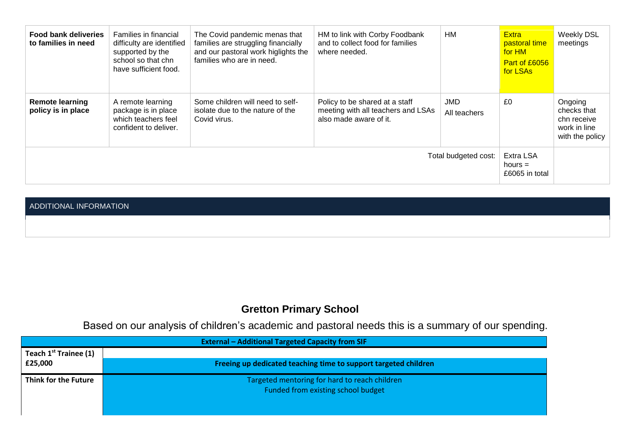| <b>Food bank deliveries</b><br>to families in need | <b>Families in financial</b><br>difficulty are identified<br>supported by the<br>school so that chn<br>have sufficient food. | The Covid pandemic menas that<br>families are struggling financially<br>and our pastoral work higlights the<br>families who are in need. | HM to link with Corby Foodbank<br>and to collect food for families<br>where needed.            | HM                         | <b>Extra</b><br>pastoral time<br>for HM<br>Part of £6056<br>for LSAs | <b>Weekly DSL</b><br>meetings                                            |
|----------------------------------------------------|------------------------------------------------------------------------------------------------------------------------------|------------------------------------------------------------------------------------------------------------------------------------------|------------------------------------------------------------------------------------------------|----------------------------|----------------------------------------------------------------------|--------------------------------------------------------------------------|
| <b>Remote learning</b><br>policy is in place       | A remote learning<br>package is in place<br>which teachers feel<br>confident to deliver.                                     | Some children will need to self-<br>isolate due to the nature of the<br>Covid virus.                                                     | Policy to be shared at a staff<br>meeting with all teachers and LSAs<br>also made aware of it. | <b>JMD</b><br>All teachers | £0                                                                   | Ongoing<br>checks that<br>chn receive<br>work in line<br>with the policy |
| Total budgeted cost:                               |                                                                                                                              |                                                                                                                                          | Extra LSA<br>hours $=$<br>£6065 in total                                                       |                            |                                                                      |                                                                          |

#### ADDITIONAL INFORMATION

## **Gretton Primary School**

Based on our analysis of children's academic and pastoral needs this is a summary of our spending.

| <b>External - Additional Targeted Capacity from SIF</b> |                                                                 |  |
|---------------------------------------------------------|-----------------------------------------------------------------|--|
| Teach 1 <sup>st</sup> Trainee (1)                       |                                                                 |  |
| £25,000                                                 | Freeing up dedicated teaching time to support targeted children |  |
| Think for the Future                                    | Targeted mentoring for hard to reach children                   |  |
|                                                         | Funded from existing school budget                              |  |
|                                                         |                                                                 |  |
|                                                         |                                                                 |  |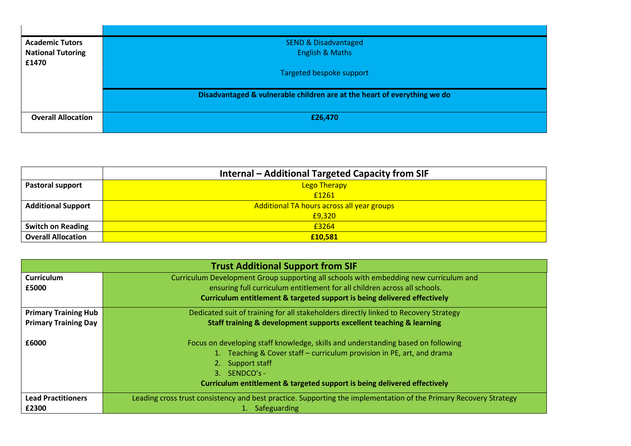| <b>Academic Tutors</b>    | <b>SEND &amp; Disadvantaged</b>                                          |
|---------------------------|--------------------------------------------------------------------------|
| <b>National Tutoring</b>  | <b>English &amp; Maths</b>                                               |
| £1470                     |                                                                          |
|                           | Targeted bespoke support                                                 |
|                           |                                                                          |
|                           | Disadvantaged & vulnerable children are at the heart of everything we do |
|                           |                                                                          |
| <b>Overall Allocation</b> | £26,470                                                                  |
|                           |                                                                          |

|                           | <b>Internal – Additional Targeted Capacity from SIF</b> |
|---------------------------|---------------------------------------------------------|
| <b>Pastoral support</b>   | <b>Lego Therapy</b>                                     |
|                           | £1261                                                   |
| <b>Additional Support</b> | Additional TA hours across all year groups              |
|                           | £9,320                                                  |
| <b>Switch on Reading</b>  | £3264                                                   |
| <b>Overall Allocation</b> | £10.581                                                 |

|                             | <b>Trust Additional Support from SIF</b>                                                                                                                                                                                                                                       |  |
|-----------------------------|--------------------------------------------------------------------------------------------------------------------------------------------------------------------------------------------------------------------------------------------------------------------------------|--|
| <b>Curriculum</b>           | Curriculum Development Group supporting all schools with embedding new curriculum and                                                                                                                                                                                          |  |
| £5000                       | ensuring full curriculum entitlement for all children across all schools.                                                                                                                                                                                                      |  |
|                             | Curriculum entitlement & targeted support is being delivered effectively                                                                                                                                                                                                       |  |
| <b>Primary Training Hub</b> | Dedicated suit of training for all stakeholders directly linked to Recovery Strategy                                                                                                                                                                                           |  |
| <b>Primary Training Day</b> | Staff training & development supports excellent teaching & learning                                                                                                                                                                                                            |  |
| £6000                       | Focus on developing staff knowledge, skills and understanding based on following<br>1. Teaching & Cover staff – curriculum provision in PE, art, and drama<br>Support staff<br>2.<br>3. SENDCO's -<br>Curriculum entitlement & targeted support is being delivered effectively |  |
| <b>Lead Practitioners</b>   | Leading cross trust consistency and best practice. Supporting the implementation of the Primary Recovery Strategy                                                                                                                                                              |  |
| £2300                       | 1. Safeguarding                                                                                                                                                                                                                                                                |  |